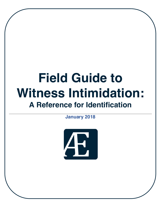# **Field Guide to Witness Intimidation: A Reference for Identification**

**January 2018**

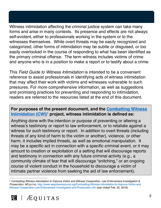Witness intimidation affecting the criminal justice system can take many forms and arise in many contexts. Its presence and effects are not always self-evident, either to professionals working in the system or to the witnesses themselves. While overt threats may be easily recognized and categorized, other forms of intimidation may be subtle or disguised, or too easily overlooked in the course of responding to what has been identified as the primary criminal offense. The term witness includes victims of crime and anyone who is in a position to make a report or to testify about a crime.

This *Field Guide to Witness Intimidation* is intended to be a convenient reference to assist professionals in identifying acts of witness intimidation that may affect their work with victims and witnesses vulnerable to such pressures. For more comprehensive information, as well as suggestions and promising practices for preventing and responding to intimidation, readers are referred to the resources listed at the end of this document.

#### **For purposes of the present document, and the [Combatting Witness](http://www.aequitasresource.org/Combatting-Witness-Intimidation-to-Improve-Victim-and-Witness-Cooperation-Law-Enforcement-Investigation-and-Prosecution.cfm)  [Intimidation \(CWI\)](http://www.aequitasresource.org/Combatting-Witness-Intimidation-to-Improve-Victim-and-Witness-Cooperation-Law-Enforcement-Investigation-and-Prosecution.cfm)**<sup>1</sup> **project, witness intimidation is defined as:**

Anything done with the intention or purpose of preventing or altering a witness's testimony or report to law enforcement, or to retaliate against a witness for such testimony or report. In addition to overt threats (including threats of any kind of harm to the victim or another), violence, or other harm, it includes implied threats, as well as emotional manipulation. It may be a specific act in connection with a specific criminal event, or it may amount to creation or exploitation of a setting that will discourage reports and testimony in connection with any future criminal activity (e.g., a community climate of fear that will discourage "snitching," or an ongoing course of violent conduct in the household to discourage a victim of intimate partner violence from seeking the aid of law enforcement).

**<sup>1</sup>** *Combatting Witness Intimidation to Improve Victim and Witness Cooperation, Law Enforcement Investigation & Prosecution*, AEQUITAS, [http://www.aequitasresource.org/Combatting-Witness-Intimidation-to-Improve-Victim-and-](http://www.aequitasresource.org/Combatting-Witness-Intimidation-to-Improve-Victim-and-Witness-Cooperation-Law-Enforcement-Investigation-and-Prosecution.cfm)[Witness-Cooperation-Law-Enforcement-Investigation-and-Prosecution.cfm](http://www.aequitasresource.org/Combatting-Witness-Intimidation-to-Improve-Victim-and-Witness-Cooperation-Law-Enforcement-Investigation-and-Prosecution.cfm) (last visited Feb. 22, 2018).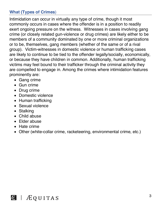# **What (Types of Crimes**)

Intimidation can occur in virtually any type of crime, though it most commonly occurs in cases where the offender is in a position to readily exert ongoing pressure on the witness. Witnesses in cases involving gang crime (or closely related gun-violence or drug crimes) are likely either to be members of a community dominated by one or more criminal organizations or to be, themselves, gang members (whether of the same or of a rival group). Victim-witnesses in domestic violence or human trafficking cases are likely to continue to be tied to the offender legally/socially, economically, or because they have children in common. Additionally, human trafficking victims may feel bound to their trafficker through the criminal activity they are compelled to engage in. Among the crimes where intimidation features prominently are:

- Gang crime
- Gun crime
- Drug crime
- Domestic violence
- Human trafficking
- Sexual violence
- Stalking
- Child abuse
- Elder abuse
- Hate crime
- Other (white-collar crime, racketeering, environmental crime, etc.)

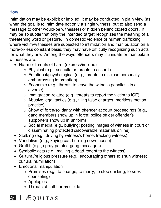#### **How**

Intimidation may be explicit or implied; it may be conducted in plain view (as when the goal is to intimidate not only a single witness, but to also send a message to other would-be witnesses) or hidden behind closed doors. It may be so subtle that only the intended target recognizes the meaning of a threatening word or gesture. In domestic violence or human trafficking, where victim-witnesses are subjected to intimidation and manipulation on a more-or-less constant basis, they may have difficulty recognizing such acts for what they are. Among the ways offenders may intimidate or manipulate witnesses are:

- Harm or threats of harm (express/implied)
	- o Physical (e.g., assaults or threats to assault)
	- o Emotional/psychological (e.g., threats to disclose personally embarrassing information)
	- $\circ$  Economic (e.g., threats to leave the witness penniless in a divorce)
	- $\circ$  Immigration-related (e.g., threats to report the victim to ICE)
	- o Abusive legal tactics (e.g., filing false charges; meritless motion practice)
	- o Show of force/solidarity with offender at court proceedings (e.g., gang members show up in force; police officer offender's supporters show up in uniform)
	- o Social media (e.g., bullying; posting images of witness in court or disseminating protected discoverable materials online)
- Stalking (e.g., driving by witness's home; tracking witness)
- Vandalism (e.g., keying car; burning down house)
- Graffiti (e.g., spray-painted gang messages)
- Symbolic acts (e.g., mailing a dead rodent to the witness)
- Cultural/religious pressure (e.g., encouraging others to shun witness; cultural humiliation)
- Emotional manipulation
	- o Promises (e.g., to change, to marry, to stop drinking, to seek counseling)
	- o Apologies
	- o Threats of self-harm/suicide

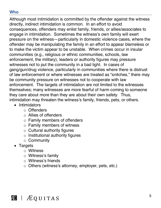#### **Who**

Although most intimidation is committed by the offender against the witness directly, indirect intimidation is common. In an effort to avoid consequences, offenders may enlist family, friends, or allies/associates to engage in intimidation. Sometimes the witness's own family will exert pressure on the witness—particularly in domestic violence cases, where the offender may be manipulating the family in an effort to appear blameless or to make the victim appear to be unstable. When crimes occur in insular communities (e.g., religious or ethnic communities, schools, law enforcement, the military), leaders or authority figures may pressure witnesses not to put the community in a bad light. In cases of gang/gun/drug violence, particularly in communities where there is distrust of law enforcement or where witnesses are treated as "snitches," there may be community pressure on witnesses not to cooperate with law enforcement. The targets of intimidation are not limited to the witnesses themselves; many witnesses are more fearful of harm coming to someone they care about more than they are about their own safety. Thus, intimidation may threaten the witness's family, friends, pets, or others.

- Intimidators
	- o Offenders
	- o Allies of offenders
	- o Family members of offenders
	- o Family members of witness
	- o Cultural authority figures
	- $\circ$  Institutional authority figures
	- o Community
- Targets
	- o Witness
	- o Witness's family
	- o Witness's friends
	- o Others (witness's attorney, employer, pets, etc.)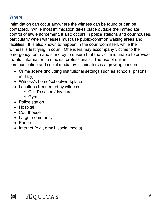#### **Where**

Intimidation can occur anywhere the witness can be found or can be contacted. While most intimidation takes place outside the immediate control of law enforcement, it also occurs in police stations and courthouses, particularly when witnesses must use public/common waiting areas and facilities. It is also known to happen in the courtroom itself, while the witness is testifying in court. Offenders may accompany victims to the emergency room and stand by to ensure that the victim is unable to provide truthful information to medical professionals. The use of online communication and social media by intimidators is a growing concern.

- Crime scene (including institutional settings such as schools, prisons, military)
- Witness's home/school/workplace
- Locations frequented by witness
	- o Child's school/day care
	- o Gym
- Police station
- Hospital
- Courthouse
- Larger community
- Phone
- Internet (e.g., email, social media)

**B** | *A*EQUITAS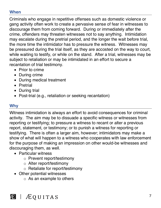# **When**

Criminals who engage in repetitive offenses such as domestic violence or gang activity often work to create a pervasive sense of fear in witnesses to discourage them from coming forward. During or immediately after the crime, offenders may threaten witnesses not to say anything. Intimidation may escalate during the pretrial period, and the longer the wait before trial, the more time the intimidator has to pressure the witness. Witnesses may be pressured during the trial itself, as they are accosted on the way to court, while waiting to testify, or while on the stand. After a trial, witnesses may be subject to retaliation or may be intimidated in an effort to secure a recantation of trial testimony.

- Prior to crime
- During crime
- During medical treatment
- Pretrial
- During trial
- Post-trial (e.g., retaliation or seeking recantation)

# **Why**

Witness intimidation is always an effort to avoid consequences for criminal activity. The aim may be to dissuade a specific witness or witnesses from reporting or testifying; to pressure a witness to recant or alter a previous report, statement, or testimony; or to punish a witness for reporting or testifying. There is often a larger aim, however; intimidators may make a show of what will happen to a witness who cooperates with law enforcement for the purpose of making an impression on other would-be witnesses and discouraging them, as well.

- Particular witness
	- o Prevent report/testimony
	- o Alter report/testimony
	- o Retaliate for report/testimony
- Other potential witnesses
	- $\circ$  As an example to others

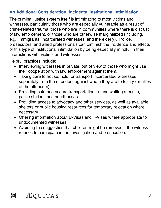## **An Additional Consideration: Incidental Institutional Intimidation**

The criminal justice system itself is intimidating to most victims and witnesses, particularly those who are especially vulnerable as a result of crime-related trauma, those who live in communities where there is distrust of law enforcement, or those who are otherwise marginalized (including, e.g., immigrants, incarcerated witnesses, and the elderly). Police, prosecutors, and allied professionals can diminish the incidence and effects of this type of institutional intimidation by being especially mindful in their interactions with victims and witnesses.

Helpful practices include:

- Interviewing witnesses in private, out of view of those who might use their cooperation with law enforcement against them.
- Taking care to house, hold, or transport incarcerated witnesses separately from the offenders against whom they are to testify (or allies of the offenders).
- Providing safe and secure transportation to, and waiting areas in, police stations and courthouses.
- Providing access to advocacy and other services, as well as available shelters or public housing resources for temporary relocation where necessary.
- Offering information about U-Visas and T-Visas where appropriate to undocumented witnesses.
- Avoiding the suggestion that children might be removed if the witness refuses to participate in the investigation and prosecution.

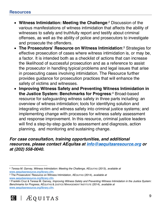- **Witness Intimidation: Meeting the Challenge**: <sup>2</sup> Discussion of the various manifestations of witness intimidation that affects the ability of witnesses to safely and truthfully report and testify about criminal offenses, as well as the ability of police and prosecutors to investigate and prosecute the offenders.
- **The Prosecutors' Resource on Witness Intimidation**: <sup>3</sup> Strategies for effective prosecution of cases where witness intimidation is, or may be, a factor. It is intended both as a checklist of actions that can increase the likelihood of successful prosecution and as a reference to assist the prosecutor in handling typical problems and legal issues that arise in prosecuting cases involving intimidation. The Resource further provides guidance for prosecution practices that will enhance the safety of victims and witnesses.
- **Improving Witness Safety and Preventing Witness Intimidation in the Justice System: Benchmarks for Progress**: <sup>4</sup> Broad-based resource for safeguarding witness safety in three parts including: an overview of witness intimidation; tools for identifying solution and integrating victim and witness safety into criminal justice systems; and implementing change with processes for witness safety assessment and response improvement. In this resource, criminal justice leaders will find a step-by-step guide to assessment and diagnosis, action planning, and monitoring and sustaining change.

#### *For case consultation, training opportunities, and additional resources, please contact AEquitas at info@aequitasresource.org or at (202) 558-0040.*

www.aequitasresource.org/library.cfm.<br><sup>4</sup> Franklin Cruz & Teresa M. Garvey, Improving Witness Safety and Preventing Witness Intimidation in the Justice System: *Benchmarks for Progress*, AEQUITAS & JUSTICE MANAGEMENT INSTITUTE (2014), *available at*  [www.aequitasresource.org/library.cfm.](http://www.aequitasresource.org/library.cfm)



 $\overline{a}$ <sup>2</sup> *Teresa M. Garvey, Witness Intimidation: Meeting the Challenge*, AEQUITAS (2013), *available at*  [www.aequitasresource.org/library.cfm. 3](http://www.aequitasresource.org/library.cfm) The Prosecutors' Resource on Witness Intimidation, AEQUITAS (2014), *available at*